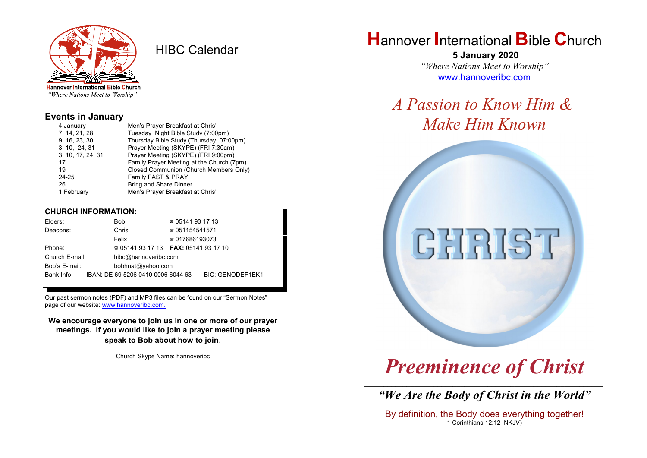

HIBC Calendar

"Where Nations Meet to Worship"

#### **Events in January**

| Men's Prayer Breakfast at Chris'          |
|-------------------------------------------|
| Tuesday Night Bible Study (7:00pm)        |
| Thursday Bible Study (Thursday, 07:00pm)  |
| Prayer Meeting (SKYPE) (FRI 7:30am)       |
| Prayer Meeting (SKYPE) (FRI 9:00pm)       |
| Family Prayer Meeting at the Church (7pm) |
| Closed Communion (Church Members Only)    |
| Family FAST & PRAY                        |
| <b>Bring and Share Dinner</b>             |
| Men's Prayer Breakfast at Chris'          |
|                                           |

#### **CHURCH INFORMATION:**

| Elders:        |  | Bob                                      | $\approx 05141931713$  |                         |  |
|----------------|--|------------------------------------------|------------------------|-------------------------|--|
| Deacons:       |  | Chris                                    | $\approx 051154541571$ |                         |  |
|                |  | Felix                                    | $\approx 017686193073$ |                         |  |
| Phone:         |  | $\approx 05141931713$ FAX: 0514193 17 10 |                        |                         |  |
| Church E-mail: |  | hibc@hannoveribc.com                     |                        |                         |  |
| Bob's E-mail:  |  | bobhnat@yahoo.com                        |                        |                         |  |
| Bank Info:     |  | IBAN: DE 69 5206 0410 0006 6044 63       |                        | <b>BIC: GENODEF1EK1</b> |  |
|                |  |                                          |                        |                         |  |

Our past sermon notes (PDF) and MP3 files can be found on our "Sermon Notes" page of our website: [www.hannoveribc.com.](http://www.hannoveribc.com.)

**We encourage everyone to join us in one or more of our prayer meetings. If you would like to join a prayer meeting please speak to Bob about how to join**.

Church Skype Name: hannoveribc

## **H**annover **I**nternational **B**ible **C**hurch

 **5 January 2020** *"Where Nations Meet to Worship"* [www.hannoveribc.com](http://www.hannoveribc.com)

# *A Passion to Know Him & Make Him Known*



# *Preeminence of Christ*

\_\_\_\_\_\_\_\_\_\_\_\_\_\_\_\_\_\_\_\_\_\_\_\_\_\_\_\_\_\_\_\_\_\_\_\_\_\_\_\_\_\_\_\_\_\_\_\_\_\_\_\_\_\_\_\_\_\_\_\_\_\_ *"We Are the Body of Christ in the World"*

By definition, the Body does everything together! 1 Corinthians 12:12 NKJV)